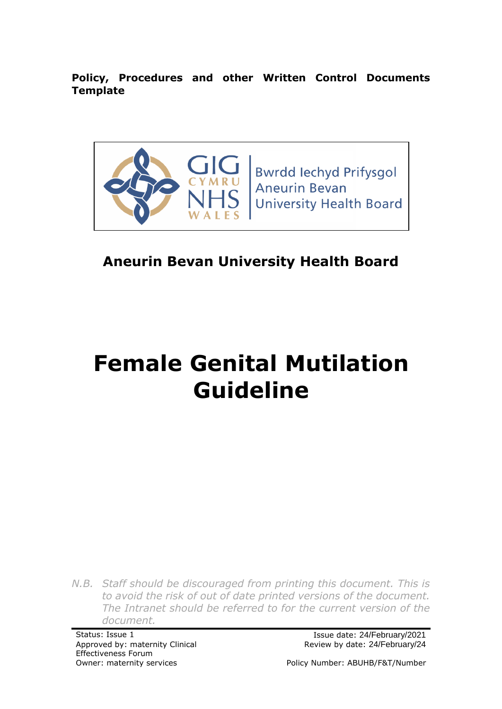**Policy, Procedures and other Written Control Documents Template**



# **Aneurin Bevan University Health Board**

# **Female Genital Mutilation Guideline**

*N.B. Staff should be discouraged from printing this document. This is to avoid the risk of out of date printed versions of the document. The Intranet should be referred to for the current version of the document.*

Approved by: maternity Clinical Effectiveness Forum

Status: Issue 1 Issue date: 24/February/2021 Review by date: 24/February/24

Owner: maternity services extending the Policy Number: ABUHB/F&T/Number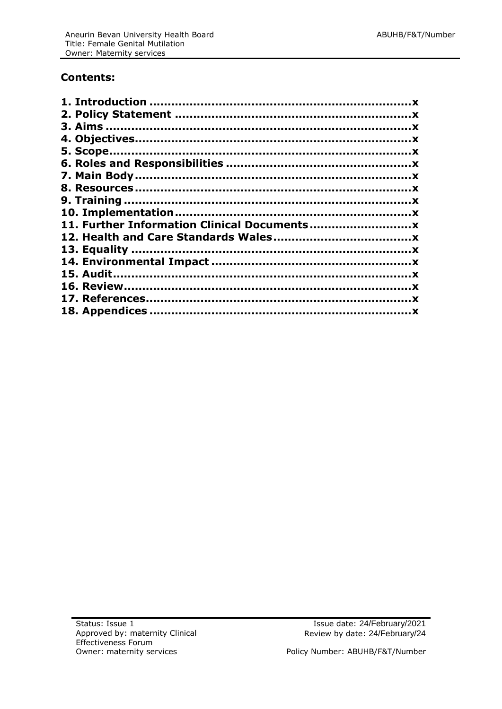#### **Contents:**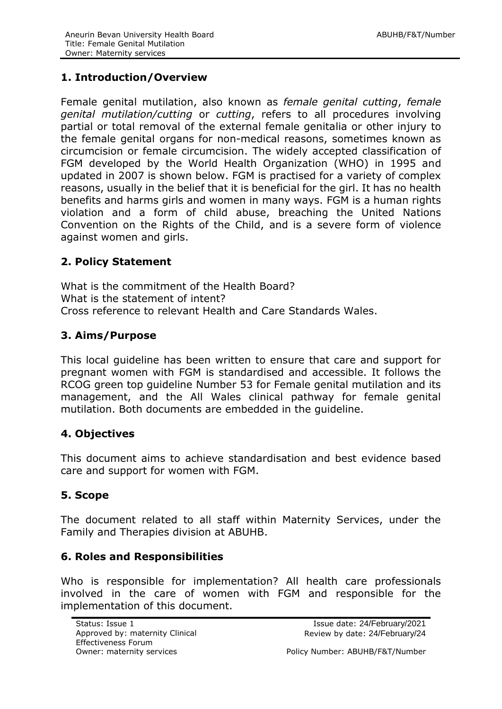#### <span id="page-2-0"></span>**1. Introduction/Overview**

Female genital mutilation, also known as *female genital cutting*, *female genital mutilation/cutting* or *cutting*, refers to all procedures involving partial or total removal of the external female genitalia or other injury to the female genital organs for non-medical reasons, sometimes known as circumcision or female circumcision. The widely accepted classification of FGM developed by the World Health Organization (WHO) in 1995 and updated in 2007 is shown below. FGM is practised for a variety of complex reasons, usually in the belief that it is beneficial for the girl. It has no health benefits and harms girls and women in many ways. FGM is a human rights violation and a form of child abuse, breaching the United Nations Convention on the Rights of the Child, and is a severe form of violence against women and girls.

#### <span id="page-2-1"></span>**2. Policy Statement**

What is the commitment of the Health Board? What is the statement of intent? Cross reference to relevant Health and Care Standards Wales.

#### <span id="page-2-2"></span>**3. Aims/Purpose**

This local guideline has been written to ensure that care and support for pregnant women with FGM is standardised and accessible. It follows the RCOG green top guideline Number 53 for Female genital mutilation and its management, and the All Wales clinical pathway for female genital mutilation. Both documents are embedded in the guideline.

#### <span id="page-2-3"></span>**4. Objectives**

This document aims to achieve standardisation and best evidence based care and support for women with FGM.

## <span id="page-2-4"></span>**5. Scope**

The document related to all staff within Maternity Services, under the Family and Therapies division at ABUHB.

#### <span id="page-2-5"></span>**6. Roles and Responsibilities**

Who is responsible for implementation? All health care professionals involved in the care of women with FGM and responsible for the implementation of this document.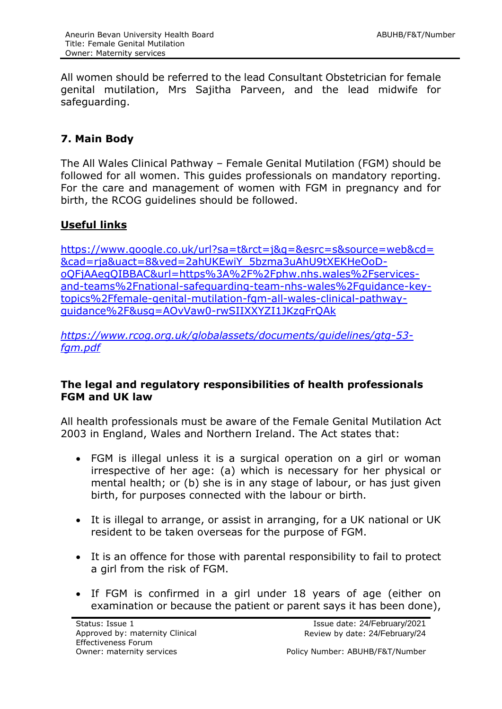All women should be referred to the lead Consultant Obstetrician for female genital mutilation, Mrs Sajitha Parveen, and the lead midwife for safeguarding.

# <span id="page-3-0"></span>**7. Main Body**

The All Wales Clinical Pathway – Female Genital Mutilation (FGM) should be followed for all women. This guides professionals on mandatory reporting. For the care and management of women with FGM in pregnancy and for birth, the RCOG guidelines should be followed.

## **Useful links**

[https://www.google.co.uk/url?sa=t&rct=j&q=&esrc=s&source=web&cd=](https://www.google.co.uk/url?sa=t&rct=j&q=&esrc=s&source=web&cd=&cad=rja&uact=8&ved=2ahUKEwiY_5bzma3uAhU9tXEKHeOoD-oQFjAAegQIBBAC&url=https%3A%2F%2Fphw.nhs.wales%2Fservices-and-teams%2Fnational-safeguarding-team-nhs-wales%2Fguidance-key-topics%2Ffemale-genital-mutilation-fgm-all-wales-clinical-pathway-guidance%2F&usg=AOvVaw0-rwSIIXXYZI1JKzgFrQAk) [&cad=rja&uact=8&ved=2ahUKEwiY\\_5bzma3uAhU9tXEKHeOoD](https://www.google.co.uk/url?sa=t&rct=j&q=&esrc=s&source=web&cd=&cad=rja&uact=8&ved=2ahUKEwiY_5bzma3uAhU9tXEKHeOoD-oQFjAAegQIBBAC&url=https%3A%2F%2Fphw.nhs.wales%2Fservices-and-teams%2Fnational-safeguarding-team-nhs-wales%2Fguidance-key-topics%2Ffemale-genital-mutilation-fgm-all-wales-clinical-pathway-guidance%2F&usg=AOvVaw0-rwSIIXXYZI1JKzgFrQAk)[oQFjAAegQIBBAC&url=https%3A%2F%2Fphw.nhs.wales%2Fservices](https://www.google.co.uk/url?sa=t&rct=j&q=&esrc=s&source=web&cd=&cad=rja&uact=8&ved=2ahUKEwiY_5bzma3uAhU9tXEKHeOoD-oQFjAAegQIBBAC&url=https%3A%2F%2Fphw.nhs.wales%2Fservices-and-teams%2Fnational-safeguarding-team-nhs-wales%2Fguidance-key-topics%2Ffemale-genital-mutilation-fgm-all-wales-clinical-pathway-guidance%2F&usg=AOvVaw0-rwSIIXXYZI1JKzgFrQAk)[and-teams%2Fnational-safeguarding-team-nhs-wales%2Fguidance-key](https://www.google.co.uk/url?sa=t&rct=j&q=&esrc=s&source=web&cd=&cad=rja&uact=8&ved=2ahUKEwiY_5bzma3uAhU9tXEKHeOoD-oQFjAAegQIBBAC&url=https%3A%2F%2Fphw.nhs.wales%2Fservices-and-teams%2Fnational-safeguarding-team-nhs-wales%2Fguidance-key-topics%2Ffemale-genital-mutilation-fgm-all-wales-clinical-pathway-guidance%2F&usg=AOvVaw0-rwSIIXXYZI1JKzgFrQAk)[topics%2Ffemale-genital-mutilation-fgm-all-wales-clinical-pathway](https://www.google.co.uk/url?sa=t&rct=j&q=&esrc=s&source=web&cd=&cad=rja&uact=8&ved=2ahUKEwiY_5bzma3uAhU9tXEKHeOoD-oQFjAAegQIBBAC&url=https%3A%2F%2Fphw.nhs.wales%2Fservices-and-teams%2Fnational-safeguarding-team-nhs-wales%2Fguidance-key-topics%2Ffemale-genital-mutilation-fgm-all-wales-clinical-pathway-guidance%2F&usg=AOvVaw0-rwSIIXXYZI1JKzgFrQAk)[guidance%2F&usg=AOvVaw0-rwSIIXXYZI1JKzgFrQAk](https://www.google.co.uk/url?sa=t&rct=j&q=&esrc=s&source=web&cd=&cad=rja&uact=8&ved=2ahUKEwiY_5bzma3uAhU9tXEKHeOoD-oQFjAAegQIBBAC&url=https%3A%2F%2Fphw.nhs.wales%2Fservices-and-teams%2Fnational-safeguarding-team-nhs-wales%2Fguidance-key-topics%2Ffemale-genital-mutilation-fgm-all-wales-clinical-pathway-guidance%2F&usg=AOvVaw0-rwSIIXXYZI1JKzgFrQAk)

*[https://www.rcog.org.uk/globalassets/documents/guidelines/gtg-53](https://www.rcog.org.uk/globalassets/documents/guidelines/gtg-53-fgm.pdf) [fgm.pdf](https://www.rcog.org.uk/globalassets/documents/guidelines/gtg-53-fgm.pdf)*

#### **The legal and regulatory responsibilities of health professionals FGM and UK law**

All health professionals must be aware of the Female Genital Mutilation Act 2003 in England, Wales and Northern Ireland. The Act states that:

- FGM is illegal unless it is a surgical operation on a girl or woman irrespective of her age: (a) which is necessary for her physical or mental health; or (b) she is in any stage of labour, or has just given birth, for purposes connected with the labour or birth.
- It is illegal to arrange, or assist in arranging, for a UK national or UK resident to be taken overseas for the purpose of FGM.
- It is an offence for those with parental responsibility to fail to protect a girl from the risk of FGM.
- If FGM is confirmed in a girl under 18 years of age (either on examination or because the patient or parent says it has been done),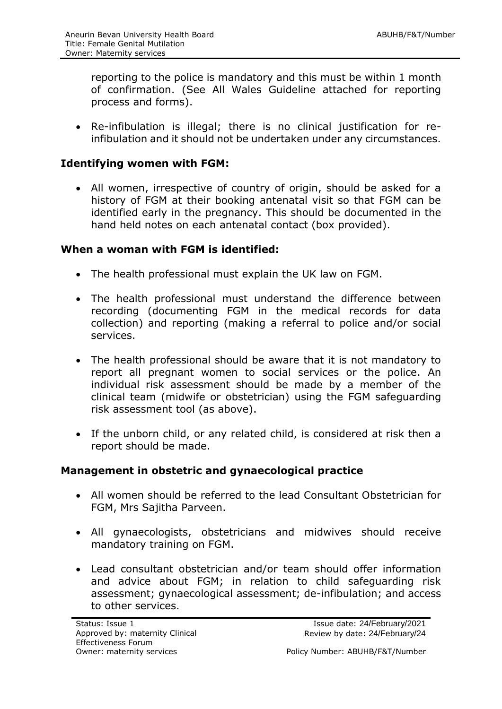reporting to the police is mandatory and this must be within 1 month of confirmation. (See All Wales Guideline attached for reporting process and forms).

 Re-infibulation is illegal; there is no clinical justification for reinfibulation and it should not be undertaken under any circumstances.

#### **Identifying women with FGM:**

 All women, irrespective of country of origin, should be asked for a history of FGM at their booking antenatal visit so that FGM can be identified early in the pregnancy. This should be documented in the hand held notes on each antenatal contact (box provided).

#### **When a woman with FGM is identified:**

- The health professional must explain the UK law on FGM.
- The health professional must understand the difference between recording (documenting FGM in the medical records for data collection) and reporting (making a referral to police and/or social services.
- The health professional should be aware that it is not mandatory to report all pregnant women to social services or the police. An individual risk assessment should be made by a member of the clinical team (midwife or obstetrician) using the FGM safeguarding risk assessment tool (as above).
- If the unborn child, or any related child, is considered at risk then a report should be made.

#### **Management in obstetric and gynaecological practice**

- All women should be referred to the lead Consultant Obstetrician for FGM, Mrs Sajitha Parveen.
- All gynaecologists, obstetricians and midwives should receive mandatory training on FGM.
- Lead consultant obstetrician and/or team should offer information and advice about FGM; in relation to child safeguarding risk assessment; gynaecological assessment; de-infibulation; and access to other services.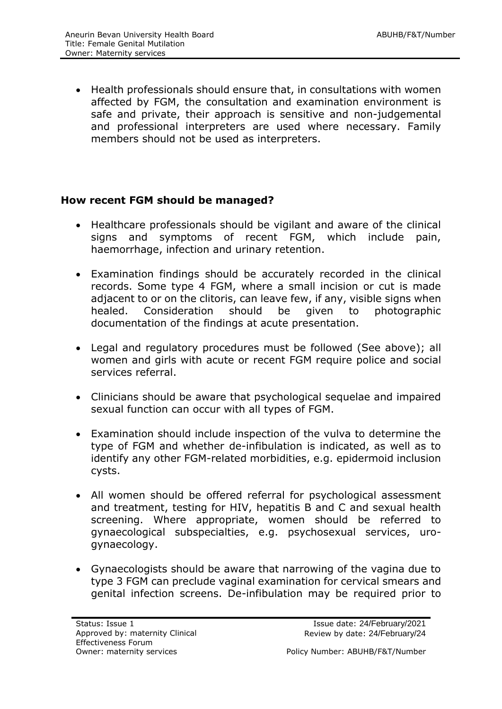• Health professionals should ensure that, in consultations with women affected by FGM, the consultation and examination environment is safe and private, their approach is sensitive and non-judgemental and professional interpreters are used where necessary. Family members should not be used as interpreters.

#### **How recent FGM should be managed?**

- Healthcare professionals should be vigilant and aware of the clinical signs and symptoms of recent FGM, which include pain, haemorrhage, infection and urinary retention.
- Examination findings should be accurately recorded in the clinical records. Some type 4 FGM, where a small incision or cut is made adjacent to or on the clitoris, can leave few, if any, visible signs when healed. Consideration should be given to photographic documentation of the findings at acute presentation.
- Legal and regulatory procedures must be followed (See above); all women and girls with acute or recent FGM require police and social services referral.
- Clinicians should be aware that psychological sequelae and impaired sexual function can occur with all types of FGM.
- Examination should include inspection of the vulva to determine the type of FGM and whether de-infibulation is indicated, as well as to identify any other FGM-related morbidities, e.g. epidermoid inclusion cysts.
- All women should be offered referral for psychological assessment and treatment, testing for HIV, hepatitis B and C and sexual health screening. Where appropriate, women should be referred to gynaecological subspecialties, e.g. psychosexual services, urogynaecology.
- Gynaecologists should be aware that narrowing of the vagina due to type 3 FGM can preclude vaginal examination for cervical smears and genital infection screens. De-infibulation may be required prior to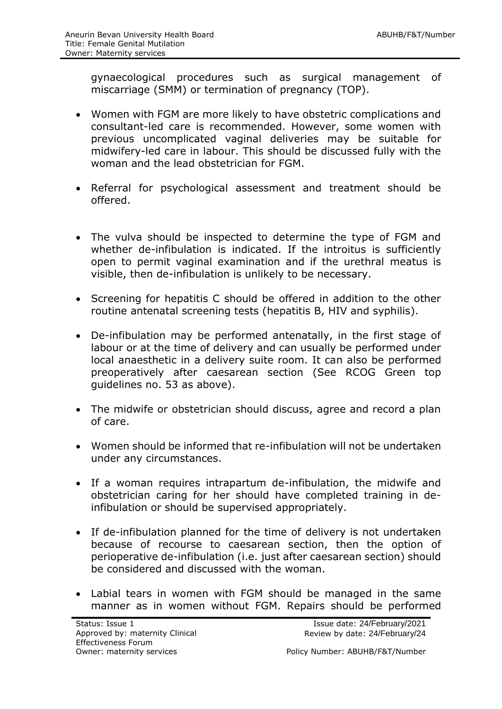gynaecological procedures such as surgical management of miscarriage (SMM) or termination of pregnancy (TOP).

- Women with FGM are more likely to have obstetric complications and consultant-led care is recommended. However, some women with previous uncomplicated vaginal deliveries may be suitable for midwifery-led care in labour. This should be discussed fully with the woman and the lead obstetrician for FGM.
- Referral for psychological assessment and treatment should be offered.
- The vulva should be inspected to determine the type of FGM and whether de-infibulation is indicated. If the introitus is sufficiently open to permit vaginal examination and if the urethral meatus is visible, then de-infibulation is unlikely to be necessary.
- Screening for hepatitis C should be offered in addition to the other routine antenatal screening tests (hepatitis B, HIV and syphilis).
- De-infibulation may be performed antenatally, in the first stage of labour or at the time of delivery and can usually be performed under local anaesthetic in a delivery suite room. It can also be performed preoperatively after caesarean section (See RCOG Green top guidelines no. 53 as above).
- The midwife or obstetrician should discuss, agree and record a plan of care.
- Women should be informed that re-infibulation will not be undertaken under any circumstances.
- If a woman requires intrapartum de-infibulation, the midwife and obstetrician caring for her should have completed training in deinfibulation or should be supervised appropriately.
- If de-infibulation planned for the time of delivery is not undertaken because of recourse to caesarean section, then the option of perioperative de-infibulation (i.e. just after caesarean section) should be considered and discussed with the woman.
- Labial tears in women with FGM should be managed in the same manner as in women without FGM. Repairs should be performed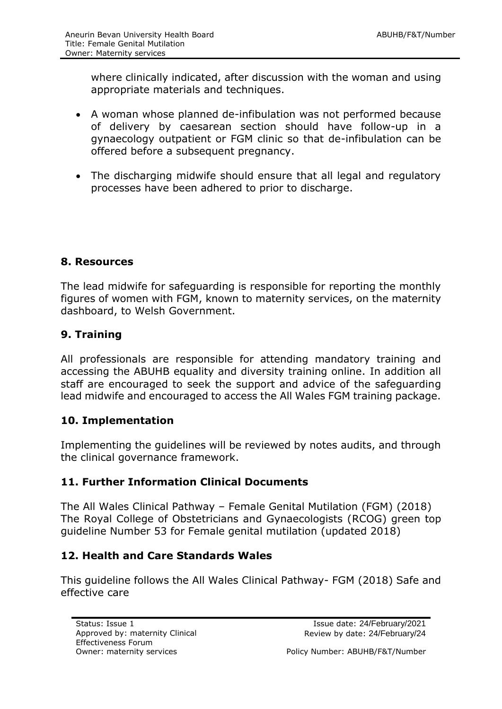where clinically indicated, after discussion with the woman and using appropriate materials and techniques.

- A woman whose planned de-infibulation was not performed because of delivery by caesarean section should have follow-up in a gynaecology outpatient or FGM clinic so that de-infibulation can be offered before a subsequent pregnancy.
- The discharging midwife should ensure that all legal and regulatory processes have been adhered to prior to discharge.

#### <span id="page-7-0"></span>**8. Resources**

The lead midwife for safeguarding is responsible for reporting the monthly figures of women with FGM, known to maternity services, on the maternity dashboard, to Welsh Government.

#### <span id="page-7-1"></span>**9. Training**

All professionals are responsible for attending mandatory training and accessing the ABUHB equality and diversity training online. In addition all staff are encouraged to seek the support and advice of the safeguarding lead midwife and encouraged to access the All Wales FGM training package.

#### <span id="page-7-2"></span>**10. Implementation**

Implementing the guidelines will be reviewed by notes audits, and through the clinical governance framework.

#### <span id="page-7-3"></span>**11. Further Information Clinical Documents**

The All Wales Clinical Pathway – Female Genital Mutilation (FGM) (2018) The Royal College of Obstetricians and Gynaecologists (RCOG) green top guideline Number 53 for Female genital mutilation (updated 2018)

#### <span id="page-7-4"></span>**12. Health and Care Standards Wales**

This guideline follows the All Wales Clinical Pathway- FGM (2018) Safe and effective care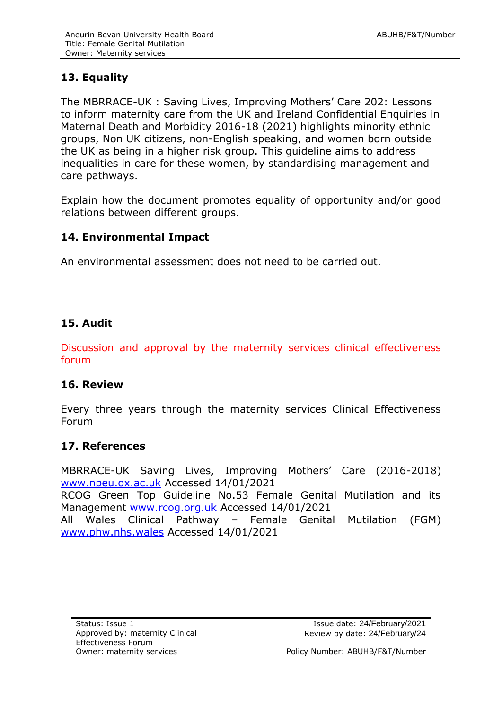# <span id="page-8-0"></span>**13. Equality**

The MBRRACE-UK : Saving Lives, Improving Mothers' Care 202: Lessons to inform maternity care from the UK and Ireland Confidential Enquiries in Maternal Death and Morbidity 2016-18 (2021) highlights minority ethnic groups, Non UK citizens, non-English speaking, and women born outside the UK as being in a higher risk group. This guideline aims to address inequalities in care for these women, by standardising management and care pathways.

Explain how the document promotes equality of opportunity and/or good relations between different groups.

#### <span id="page-8-1"></span>**14. Environmental Impact**

An environmental assessment does not need to be carried out.

#### <span id="page-8-2"></span>**15. Audit**

Discussion and approval by the maternity services clinical effectiveness forum

#### <span id="page-8-3"></span>**16. Review**

Every three years through the maternity services Clinical Effectiveness Forum

#### <span id="page-8-4"></span>**17. References**

MBRRACE-UK Saving Lives, Improving Mothers' Care (2016-2018) [www.npeu.ox.ac.uk](http://www.npeu.ox.ac.uk/) Accessed 14/01/2021 RCOG Green Top Guideline No.53 Female Genital Mutilation and its Management [www.rcog.org.uk](http://www.rcog.org.uk/) Accessed 14/01/2021 All Wales Clinical Pathway – Female Genital Mutilation (FGM) [www.phw.nhs.wales](http://www.phw.nhs.wales/) Accessed 14/01/2021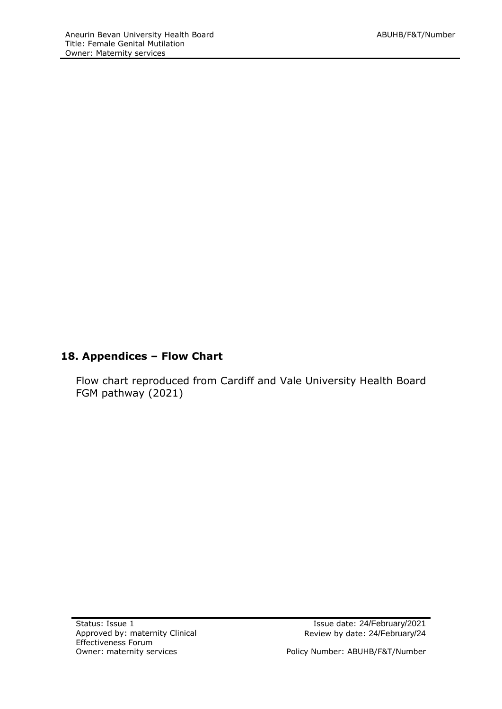# **18. Appendices – Flow Chart**

<span id="page-9-0"></span>Flow chart reproduced from Cardiff and Vale University Health Board FGM pathway (2021)

Owner: maternity services extending the Muslim Policy Number: ABUHB/F&T/Number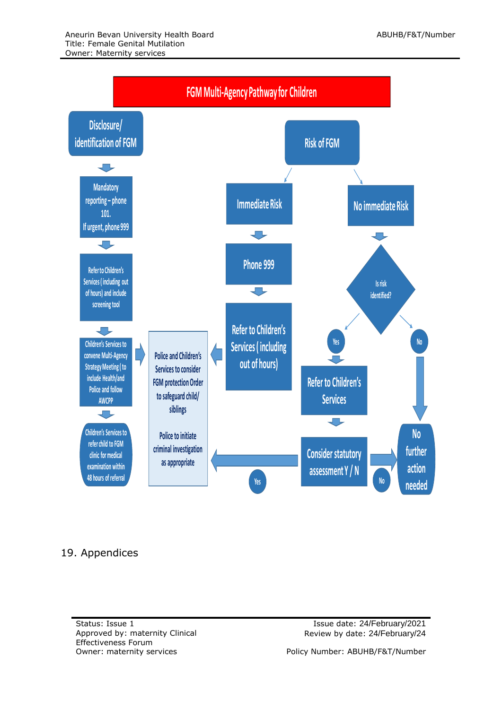

## 19. Appendices

Status: Issue 1 Issue 1 Issue date: 24/February/2021 Approved by: maternity Clinical Effectiveness Forum

Review by date: 24/February/24

Owner: maternity services extending the Policy Number: ABUHB/F&T/Number